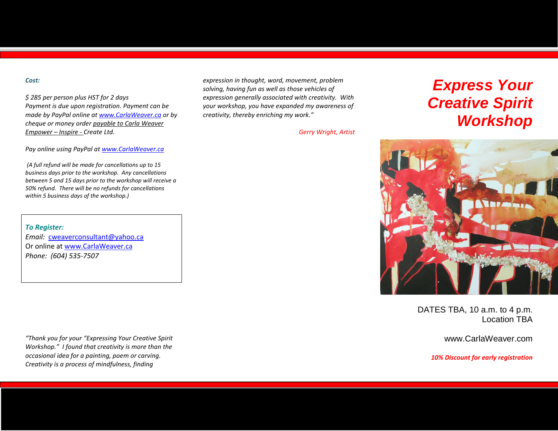#### *Cost:*

*\$ 285 per person plus HST for 2 days Payment is due upon registration. Payment can be made by PayPal online a[t www.CarlaWeaver.ca](http://www.carlaweaver.ca/) or by cheque or money order payable to Carla Weaver Empower – Inspire - Create Ltd.* 

*Pay online using PayPal a[t www.CarlaWeaver.ca](http://www.carlaweaver.ca/)*

*(A full refund will be made for cancellations up to 15 business days prior to the workshop. Any cancellations between 5 and 15 days prior to the workshop will receive a 50% refund. There will be no refunds for cancellations within 5 business days of the workshop.)*

*To Register: Email:* [cweaverconsultant@yahoo.ca](mailto:cweaverconsultant@yahoo.ca) Or online a[t www.CarlaWeaver.ca](http://www.carlaweaver.ca/) *Phone: (604) 535-7507*

*"Thank you for your "Expressing Your Creative Spirit Workshop." I found that creativity is more than the occasional idea for a painting, poem or carving. Creativity is a process of mindfulness, finding* 

*expression in thought, word, movement, problem solving, having fun as well as those vehicles of expression generally associated with creativity. With your workshop, you have expanded my awareness of creativity, thereby enriching my work."*

*Gerry Wright, Artist*

# *Express Your Creative Spirit Workshop*



DATES TBA, 10 a.m. to 4 p.m. Location TBA

www.CarlaWeaver.com

*10% Discount for early registration*